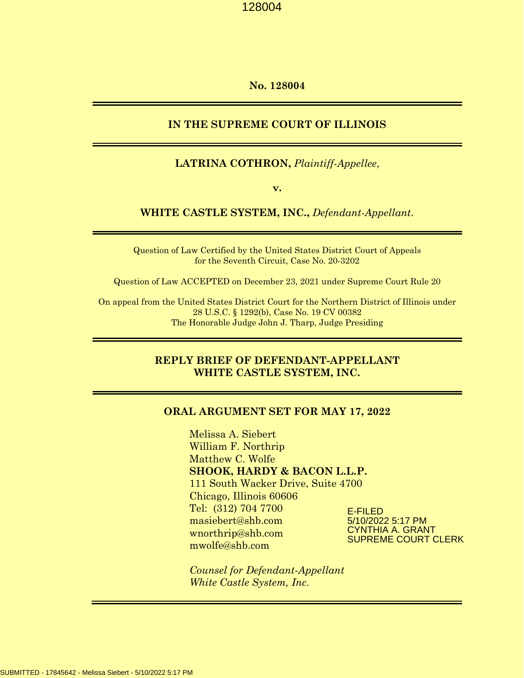#### **No. 128004**

### **IN THE SUPREME COURT OF ILLINOIS**

#### **LATRINA COTHRON,** *Plaintiff-Appellee*,

**v.** 

#### **WHITE CASTLE SYSTEM, INC.,** *Defendant-Appellant*.

Question of Law Certified by the United States District Court of Appeals for the Seventh Circuit, Case No. 20-3202

Question of Law ACCEPTED on December 23, 2021 under Supreme Court Rule 20

On appeal from the United States District Court for the Northern District of Illinois under 28 U.S.C. § 1292(b), Case No. 19 CV 00382 The Honorable Judge John J. Tharp, Judge Presiding

# **REPLY BRIEF OF DEFENDANT-APPELLANT WHITE CASTLE SYSTEM, INC.**

#### **ORAL ARGUMENT SET FOR MAY 17, 2022**

Melissa A. Siebert William F. Northrip Matthew C. Wolfe **SHOOK, HARDY & BACON L.L.P.** 111 South Wacker Drive, Suite 4700 Chicago, Illinois 60606 Tel: (312) 704 7700 masiebert@shb.com wnorthrip@shb.com mwolfe@shb.com

E-FILED 5/10/2022 5:17 PM CYNTHIA A. GRANT SUPREME COURT CLERK

*Counsel for Defendant-Appellant White Castle System, Inc.*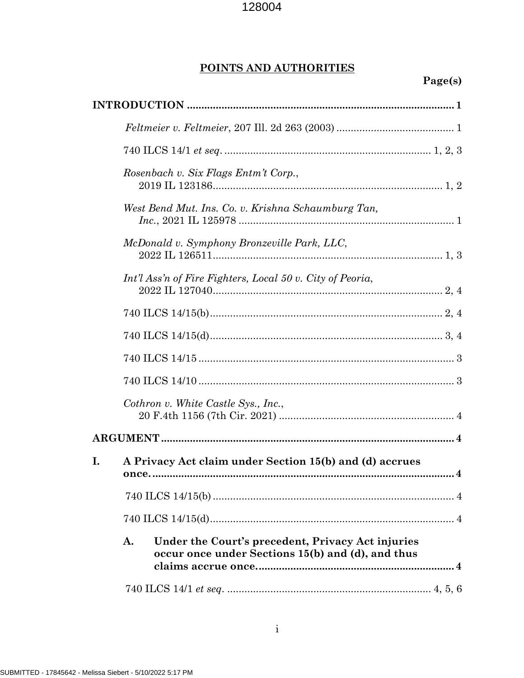# POINTS AND AUTHORITIES

# Page(s)

|    | Rosenbach v. Six Flags Entm't Corp.,        |                                                                                                        |  |  |
|----|---------------------------------------------|--------------------------------------------------------------------------------------------------------|--|--|
|    |                                             | West Bend Mut. Ins. Co. v. Krishna Schaumburg Tan,                                                     |  |  |
|    | McDonald v. Symphony Bronzeville Park, LLC, |                                                                                                        |  |  |
|    |                                             | Int'l Ass'n of Fire Fighters, Local 50 v. City of Peoria,                                              |  |  |
|    |                                             |                                                                                                        |  |  |
|    |                                             |                                                                                                        |  |  |
|    |                                             |                                                                                                        |  |  |
|    |                                             |                                                                                                        |  |  |
|    |                                             | Cothron v. White Castle Sys., Inc.,                                                                    |  |  |
|    |                                             |                                                                                                        |  |  |
| I. |                                             | A Privacy Act claim under Section 15(b) and (d) accrues                                                |  |  |
|    |                                             |                                                                                                        |  |  |
|    |                                             |                                                                                                        |  |  |
|    | A.                                          | Under the Court's precedent, Privacy Act injuries<br>occur once under Sections 15(b) and (d), and thus |  |  |
|    |                                             |                                                                                                        |  |  |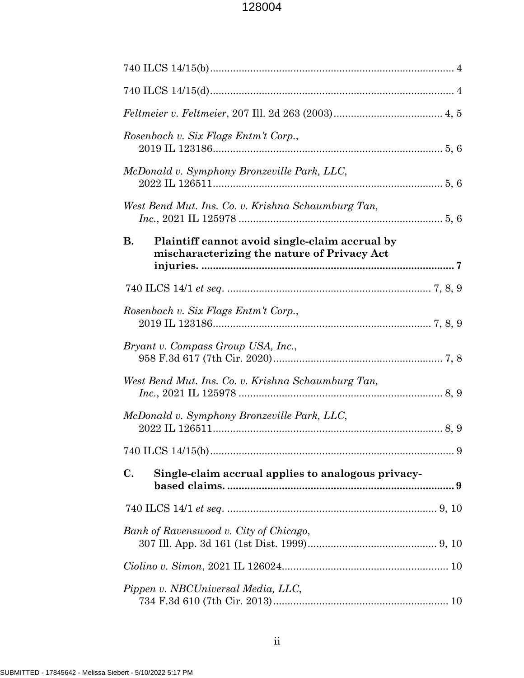| Rosenbach v. Six Flags Entm't Corp.,                                                                       |  |  |  |
|------------------------------------------------------------------------------------------------------------|--|--|--|
| McDonald v. Symphony Bronzeville Park, LLC,                                                                |  |  |  |
| West Bend Mut. Ins. Co. v. Krishna Schaumburg Tan,                                                         |  |  |  |
| <b>B.</b><br>Plaintiff cannot avoid single-claim accrual by<br>mischaracterizing the nature of Privacy Act |  |  |  |
|                                                                                                            |  |  |  |
| Rosenbach v. Six Flags Entm't Corp.,                                                                       |  |  |  |
| Bryant v. Compass Group USA, Inc.,                                                                         |  |  |  |
| West Bend Mut. Ins. Co. v. Krishna Schaumburg Tan,                                                         |  |  |  |
| McDonald v. Symphony Bronzeville Park, LLC,                                                                |  |  |  |
|                                                                                                            |  |  |  |
| C.<br>Single-claim accrual applies to analogous privacy-                                                   |  |  |  |
|                                                                                                            |  |  |  |
| Bank of Ravenswood v. City of Chicago,                                                                     |  |  |  |
|                                                                                                            |  |  |  |
| Pippen v. NBCUniversal Media, LLC,                                                                         |  |  |  |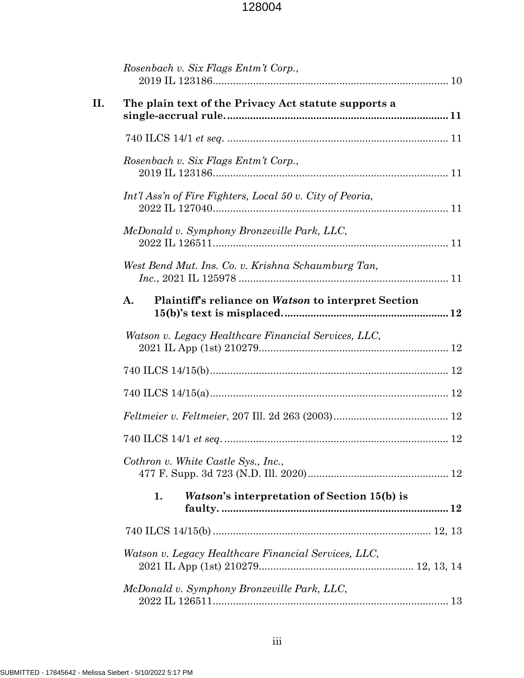|     | Rosenbach v. Six Flags Entm't Corp.,                      |  |
|-----|-----------------------------------------------------------|--|
| II. | The plain text of the Privacy Act statute supports a      |  |
|     |                                                           |  |
|     | Rosenbach v. Six Flags Entm't Corp.,                      |  |
|     | Int'l Ass'n of Fire Fighters, Local 50 v. City of Peoria, |  |
|     | McDonald v. Symphony Bronzeville Park, LLC,               |  |
|     | West Bend Mut. Ins. Co. v. Krishna Schaumburg Tan,        |  |
|     | A.<br>Plaintiff's reliance on Watson to interpret Section |  |
|     | Watson v. Legacy Healthcare Financial Services, LLC,      |  |
|     |                                                           |  |
|     |                                                           |  |
|     |                                                           |  |
|     |                                                           |  |
|     | Cothron v. White Castle Sys., Inc.,                       |  |
|     | <i>Watson's</i> interpretation of Section 15(b) is<br>1.  |  |
|     |                                                           |  |
|     | Watson v. Legacy Healthcare Financial Services, LLC,      |  |
|     | McDonald v. Symphony Bronzeville Park, LLC,               |  |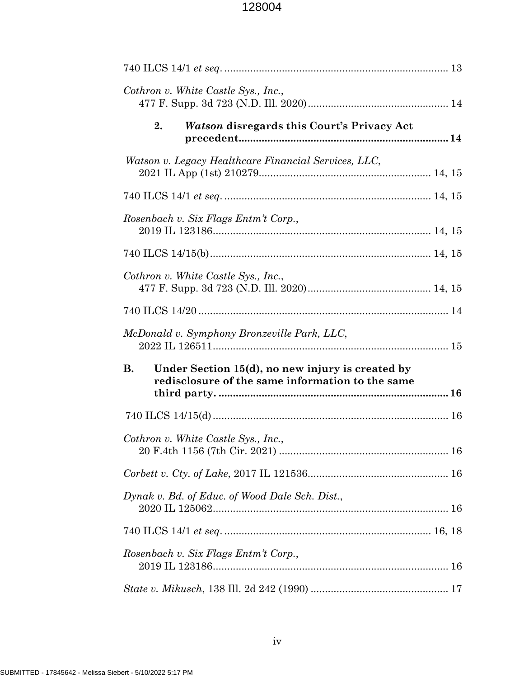| Cothron v. White Castle Sys., Inc.,                                                                               |  |
|-------------------------------------------------------------------------------------------------------------------|--|
| 2.<br><i>Watson</i> disregards this Court's Privacy Act                                                           |  |
| Watson v. Legacy Healthcare Financial Services, LLC,                                                              |  |
|                                                                                                                   |  |
| Rosenbach v. Six Flags Entm't Corp.,                                                                              |  |
|                                                                                                                   |  |
| Cothron v. White Castle Sys., Inc.,                                                                               |  |
|                                                                                                                   |  |
| McDonald v. Symphony Bronzeville Park, LLC,                                                                       |  |
| <b>B.</b><br>Under Section 15(d), no new injury is created by<br>redisclosure of the same information to the same |  |
|                                                                                                                   |  |
| Cothron v. White Castle Sys., Inc.,                                                                               |  |
|                                                                                                                   |  |
| Dynak v. Bd. of Educ. of Wood Dale Sch. Dist.,                                                                    |  |
|                                                                                                                   |  |
|                                                                                                                   |  |
| Rosenbach v. Six Flags Entm't Corp.,                                                                              |  |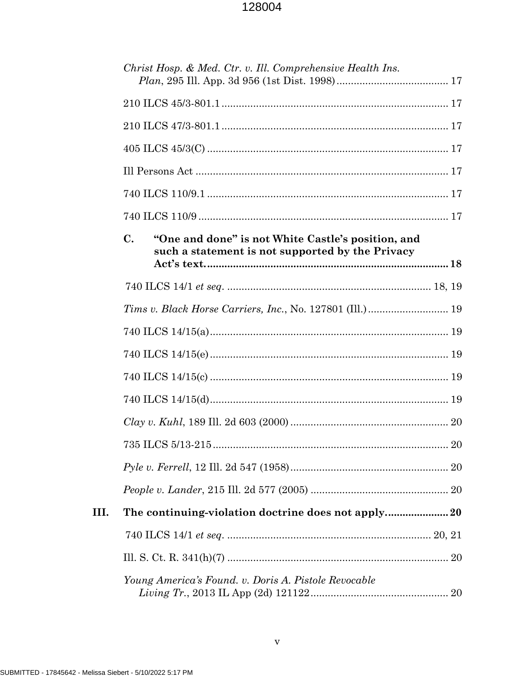|      |                | Christ Hosp. & Med. Ctr. v. Ill. Comprehensive Health Ins.                                             |    |
|------|----------------|--------------------------------------------------------------------------------------------------------|----|
|      |                |                                                                                                        |    |
|      |                |                                                                                                        |    |
|      |                |                                                                                                        |    |
|      |                |                                                                                                        |    |
|      |                |                                                                                                        |    |
|      |                |                                                                                                        |    |
|      | $\mathbf{C}$ . | "One and done" is not White Castle's position, and<br>such a statement is not supported by the Privacy |    |
|      |                |                                                                                                        |    |
|      |                |                                                                                                        |    |
|      |                |                                                                                                        |    |
|      |                |                                                                                                        |    |
|      |                |                                                                                                        |    |
|      |                |                                                                                                        |    |
|      |                |                                                                                                        |    |
|      |                | 735 ILCS 5/13-215                                                                                      | 20 |
|      |                |                                                                                                        |    |
|      |                |                                                                                                        |    |
| III. |                | The continuing-violation doctrine does not apply20                                                     |    |
|      |                |                                                                                                        |    |
|      |                |                                                                                                        |    |
|      |                | Young America's Found. v. Doris A. Pistole Revocable                                                   |    |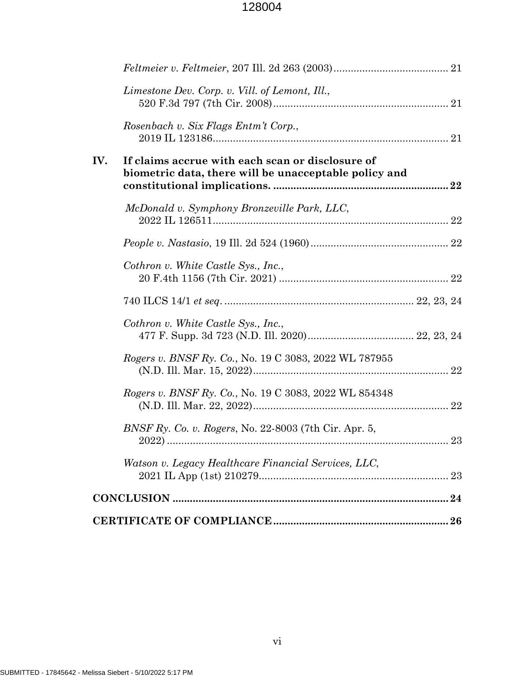|     | Limestone Dev. Corp. v. Vill. of Lemont, Ill.,                                                            |    |
|-----|-----------------------------------------------------------------------------------------------------------|----|
|     | Rosenbach v. Six Flags Entm't Corp.,                                                                      |    |
| IV. | If claims accrue with each scan or disclosure of<br>biometric data, there will be unacceptable policy and |    |
|     | McDonald v. Symphony Bronzeville Park, LLC,                                                               |    |
|     |                                                                                                           |    |
|     | Cothron v. White Castle Sys., Inc.,                                                                       |    |
|     |                                                                                                           |    |
|     | Cothron v. White Castle Sys., Inc.,                                                                       |    |
|     | Rogers v. BNSF Ry. Co., No. 19 C 3083, 2022 WL 787955                                                     |    |
|     | Rogers v. BNSF Ry. Co., No. 19 C 3083, 2022 WL 854348                                                     |    |
|     | BNSF Ry. Co. v. Rogers, No. 22-8003 (7th Cir. Apr. 5,                                                     | 23 |
|     | Watson v. Legacy Healthcare Financial Services, LLC,                                                      |    |
|     |                                                                                                           |    |
|     |                                                                                                           |    |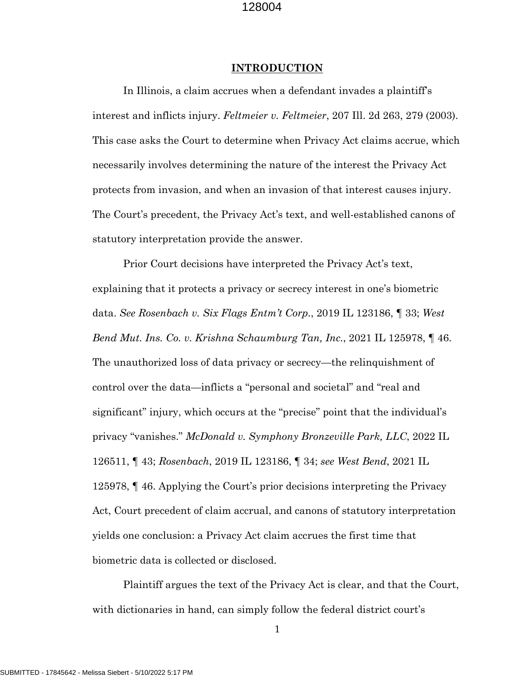#### **INTRODUCTION**

In Illinois, a claim accrues when a defendant invades a plaintiff's interest and inflicts injury. *Feltmeier v. Feltmeier*, 207 Ill. 2d 263, 279 (2003). This case asks the Court to determine when Privacy Act claims accrue, which necessarily involves determining the nature of the interest the Privacy Act protects from invasion, and when an invasion of that interest causes injury. The Court's precedent, the Privacy Act's text, and well-established canons of statutory interpretation provide the answer.

Prior Court decisions have interpreted the Privacy Act's text, explaining that it protects a privacy or secrecy interest in one's biometric data. *See Rosenbach v. Six Flags Entm't Corp.*, 2019 IL 123186, ¶ 33; *West Bend Mut. Ins. Co. v. Krishna Schaumburg Tan, Inc.*, 2021 IL 125978, ¶ 46. The unauthorized loss of data privacy or secrecy—the relinquishment of control over the data—inflicts a "personal and societal" and "real and significant" injury, which occurs at the "precise" point that the individual's privacy "vanishes." *McDonald v. Symphony Bronzeville Park, LLC*, 2022 IL 126511, ¶ 43; *Rosenbach*, 2019 IL 123186, ¶ 34; *see West Bend*, 2021 IL 125978, ¶ 46. Applying the Court's prior decisions interpreting the Privacy Act, Court precedent of claim accrual, and canons of statutory interpretation yields one conclusion: a Privacy Act claim accrues the first time that biometric data is collected or disclosed.

Plaintiff argues the text of the Privacy Act is clear, and that the Court, with dictionaries in hand, can simply follow the federal district court's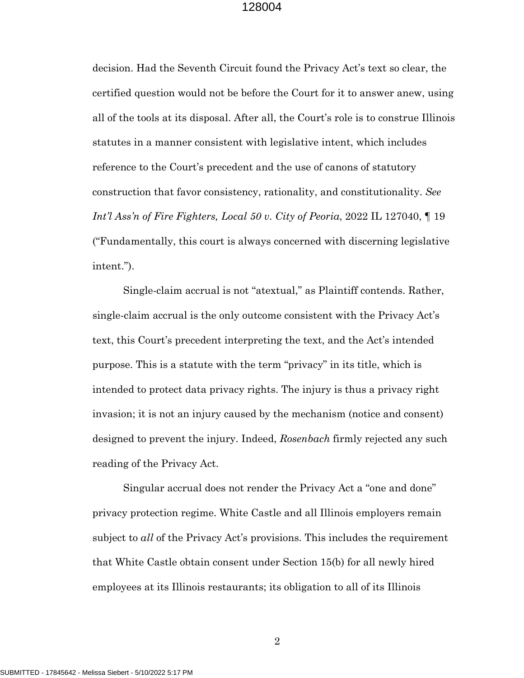decision. Had the Seventh Circuit found the Privacy Act's text so clear, the certified question would not be before the Court for it to answer anew, using all of the tools at its disposal. After all, the Court's role is to construe Illinois statutes in a manner consistent with legislative intent, which includes reference to the Court's precedent and the use of canons of statutory construction that favor consistency, rationality, and constitutionality. *See Int'l Ass'n of Fire Fighters, Local 50 v. City of Peoria*, 2022 IL 127040, ¶ 19 ("Fundamentally, this court is always concerned with discerning legislative intent.").

Single-claim accrual is not "atextual," as Plaintiff contends. Rather, single-claim accrual is the only outcome consistent with the Privacy Act's text, this Court's precedent interpreting the text, and the Act's intended purpose. This is a statute with the term "privacy" in its title, which is intended to protect data privacy rights. The injury is thus a privacy right invasion; it is not an injury caused by the mechanism (notice and consent) designed to prevent the injury. Indeed, *Rosenbach* firmly rejected any such reading of the Privacy Act.

Singular accrual does not render the Privacy Act a "one and done" privacy protection regime. White Castle and all Illinois employers remain subject to *all* of the Privacy Act's provisions. This includes the requirement that White Castle obtain consent under Section 15(b) for all newly hired employees at its Illinois restaurants; its obligation to all of its Illinois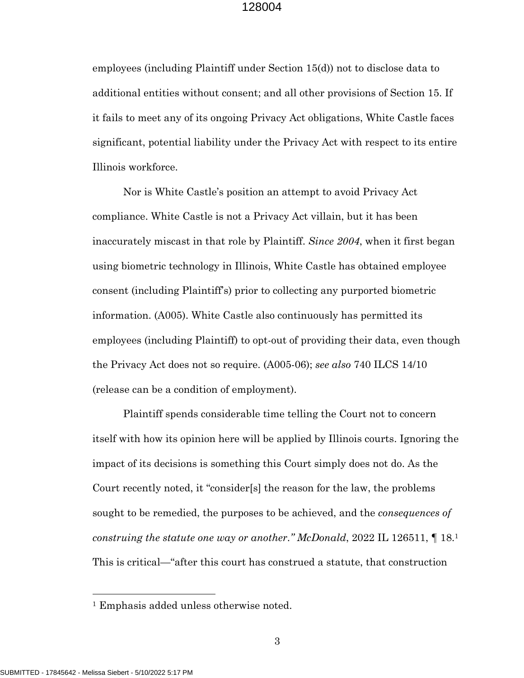employees (including Plaintiff under Section 15(d)) not to disclose data to additional entities without consent; and all other provisions of Section 15. If it fails to meet any of its ongoing Privacy Act obligations, White Castle faces significant, potential liability under the Privacy Act with respect to its entire Illinois workforce.

Nor is White Castle's position an attempt to avoid Privacy Act compliance. White Castle is not a Privacy Act villain, but it has been inaccurately miscast in that role by Plaintiff. *Since 2004*, when it first began using biometric technology in Illinois, White Castle has obtained employee consent (including Plaintiff's) prior to collecting any purported biometric information. (A005). White Castle also continuously has permitted its employees (including Plaintiff) to opt-out of providing their data, even though the Privacy Act does not so require. (A005-06); *see also* 740 ILCS 14/10 (release can be a condition of employment).

Plaintiff spends considerable time telling the Court not to concern itself with how its opinion here will be applied by Illinois courts. Ignoring the impact of its decisions is something this Court simply does not do. As the Court recently noted, it "consider[s] the reason for the law, the problems sought to be remedied, the purposes to be achieved, and the *consequences of construing the statute one way or another*.*" McDonald*, 2022 IL 126511, ¶ 18.1 This is critical—"after this court has construed a statute, that construction

 $\overline{a}$ 

<sup>1</sup> Emphasis added unless otherwise noted.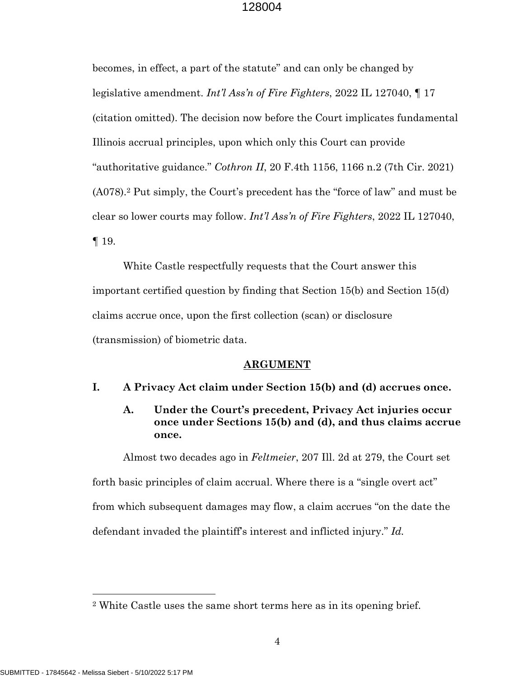becomes, in effect, a part of the statute" and can only be changed by legislative amendment. *Int'l Ass'n of Fire Fighters*, 2022 IL 127040, ¶ 17 (citation omitted). The decision now before the Court implicates fundamental Illinois accrual principles, upon which only this Court can provide "authoritative guidance." *Cothron II*, 20 F.4th 1156, 1166 n.2 (7th Cir. 2021) (A078).2 Put simply, the Court's precedent has the "force of law" and must be clear so lower courts may follow. *Int'l Ass'n of Fire Fighters*, 2022 IL 127040, ¶ 19.

White Castle respectfully requests that the Court answer this important certified question by finding that Section 15(b) and Section 15(d) claims accrue once, upon the first collection (scan) or disclosure (transmission) of biometric data.

### **ARGUMENT**

# **I. A Privacy Act claim under Section 15(b) and (d) accrues once.**

# **A. Under the Court's precedent, Privacy Act injuries occur once under Sections 15(b) and (d), and thus claims accrue once.**

Almost two decades ago in *Feltmeier*, 207 Ill. 2d at 279, the Court set forth basic principles of claim accrual. Where there is a "single overt act" from which subsequent damages may flow, a claim accrues "on the date the defendant invaded the plaintiff's interest and inflicted injury." *Id.*

 $\overline{a}$ 

<sup>2</sup> White Castle uses the same short terms here as in its opening brief.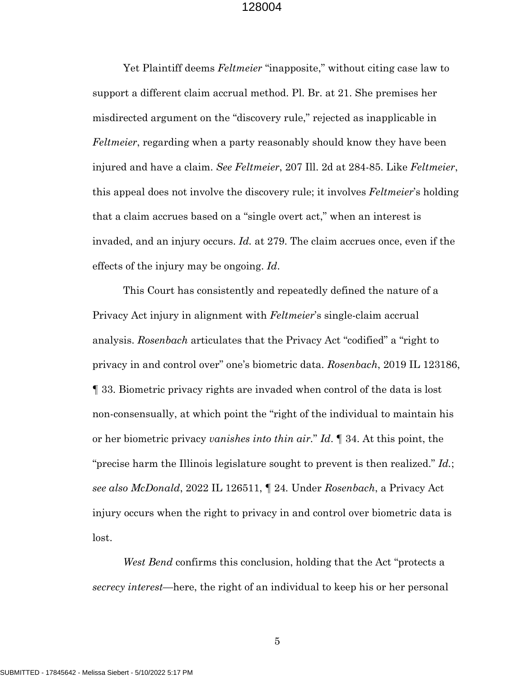Yet Plaintiff deems *Feltmeier* "inapposite," without citing case law to support a different claim accrual method. Pl. Br. at 21. She premises her misdirected argument on the "discovery rule," rejected as inapplicable in *Feltmeier*, regarding when a party reasonably should know they have been injured and have a claim. *See Feltmeier*, 207 Ill. 2d at 284-85. Like *Feltmeier*, this appeal does not involve the discovery rule; it involves *Feltmeier*'s holding that a claim accrues based on a "single overt act," when an interest is invaded, and an injury occurs. *Id.* at 279. The claim accrues once, even if the effects of the injury may be ongoing. *Id*.

This Court has consistently and repeatedly defined the nature of a Privacy Act injury in alignment with *Feltmeier*'s single-claim accrual analysis. *Rosenbach* articulates that the Privacy Act "codified" a "right to privacy in and control over" one's biometric data. *Rosenbach*, 2019 IL 123186, ¶ 33. Biometric privacy rights are invaded when control of the data is lost non-consensually, at which point the "right of the individual to maintain his or her biometric privacy *vanishes into thin air.*" *Id*. ¶ 34. At this point, the "precise harm the Illinois legislature sought to prevent is then realized." *Id.*; *see also McDonald*, 2022 IL 126511, ¶ 24*.* Under *Rosenbach*, a Privacy Act injury occurs when the right to privacy in and control over biometric data is lost.

*West Bend* confirms this conclusion, holding that the Act "protects a *secrecy interest*—here, the right of an individual to keep his or her personal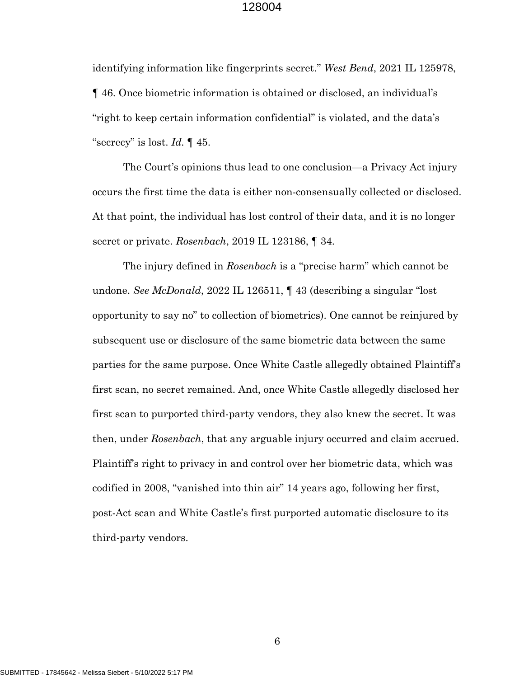identifying information like fingerprints secret." *West Bend*, 2021 IL 125978, ¶ 46. Once biometric information is obtained or disclosed, an individual's "right to keep certain information confidential" is violated, and the data's "secrecy" is lost. *Id.* ¶ 45.

The Court's opinions thus lead to one conclusion—a Privacy Act injury occurs the first time the data is either non-consensually collected or disclosed. At that point, the individual has lost control of their data, and it is no longer secret or private. *Rosenbach*, 2019 IL 123186, ¶ 34.

The injury defined in *Rosenbach* is a "precise harm" which cannot be undone. *See McDonald*, 2022 IL 126511, ¶ 43 (describing a singular "lost opportunity to say no" to collection of biometrics). One cannot be reinjured by subsequent use or disclosure of the same biometric data between the same parties for the same purpose. Once White Castle allegedly obtained Plaintiff's first scan, no secret remained. And, once White Castle allegedly disclosed her first scan to purported third-party vendors, they also knew the secret. It was then, under *Rosenbach*, that any arguable injury occurred and claim accrued. Plaintiff's right to privacy in and control over her biometric data, which was codified in 2008, "vanished into thin air" 14 years ago, following her first, post-Act scan and White Castle's first purported automatic disclosure to its third-party vendors.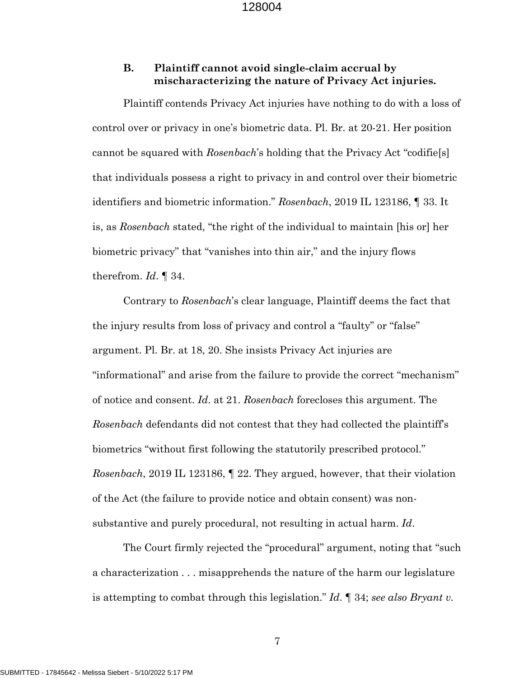# **B. Plaintiff cannot avoid single-claim accrual by mischaracterizing the nature of Privacy Act injuries.**

Plaintiff contends Privacy Act injuries have nothing to do with a loss of control over or privacy in one's biometric data. Pl. Br. at 20-21. Her position cannot be squared with *Rosenbach*'s holding that the Privacy Act "codifie[s] that individuals possess a right to privacy in and control over their biometric identifiers and biometric information." *Rosenbach*, 2019 IL 123186, ¶ 33. It is, as *Rosenbach* stated, "the right of the individual to maintain [his or] her biometric privacy" that "vanishes into thin air," and the injury flows therefrom. *Id*. ¶ 34.

Contrary to *Rosenbach*'s clear language, Plaintiff deems the fact that the injury results from loss of privacy and control a "faulty" or "false" argument. Pl. Br. at 18, 20. She insists Privacy Act injuries are "informational" and arise from the failure to provide the correct "mechanism" of notice and consent. *Id*. at 21. *Rosenbach* forecloses this argument. The *Rosenbach* defendants did not contest that they had collected the plaintiff's biometrics "without first following the statutorily prescribed protocol." *Rosenbach*, 2019 IL 123186, ¶ 22. They argued, however, that their violation of the Act (the failure to provide notice and obtain consent) was nonsubstantive and purely procedural, not resulting in actual harm. *Id*.

The Court firmly rejected the "procedural" argument, noting that "such a characterization . . . misapprehends the nature of the harm our legislature is attempting to combat through this legislation." *Id*. ¶ 34; *see also Bryant v.*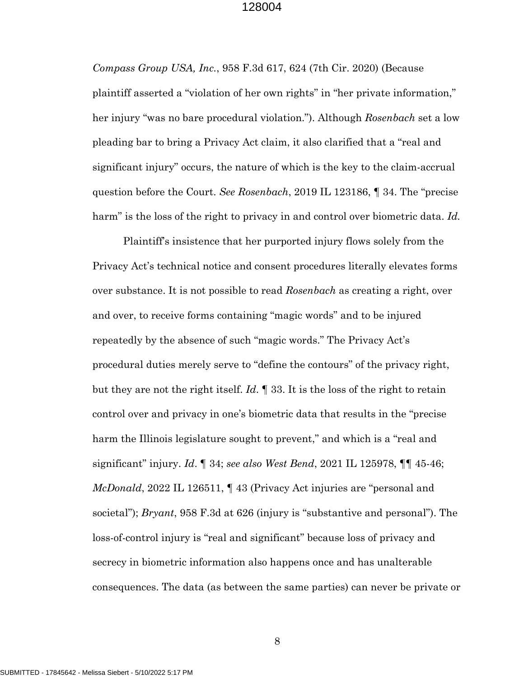*Compass Group USA, Inc.*, 958 F.3d 617, 624 (7th Cir. 2020) (Because plaintiff asserted a "violation of her own rights" in "her private information," her injury "was no bare procedural violation."). Although *Rosenbach* set a low pleading bar to bring a Privacy Act claim, it also clarified that a "real and significant injury" occurs, the nature of which is the key to the claim-accrual question before the Court. *See Rosenbach*, 2019 IL 123186, ¶ 34. The "precise harm" is the loss of the right to privacy in and control over biometric data. *Id.*

Plaintiff's insistence that her purported injury flows solely from the Privacy Act's technical notice and consent procedures literally elevates forms over substance. It is not possible to read *Rosenbach* as creating a right, over and over, to receive forms containing "magic words" and to be injured repeatedly by the absence of such "magic words." The Privacy Act's procedural duties merely serve to "define the contours" of the privacy right, but they are not the right itself. *Id*. ¶ 33. It is the loss of the right to retain control over and privacy in one's biometric data that results in the "precise harm the Illinois legislature sought to prevent," and which is a "real and significant" injury. *Id*. ¶ 34; *see also West Bend*, 2021 IL 125978, ¶¶ 45-46; *McDonald*, 2022 IL 126511, ¶ 43 (Privacy Act injuries are "personal and societal"); *Bryant*, 958 F.3d at 626 (injury is "substantive and personal"). The loss-of-control injury is "real and significant" because loss of privacy and secrecy in biometric information also happens once and has unalterable consequences. The data (as between the same parties) can never be private or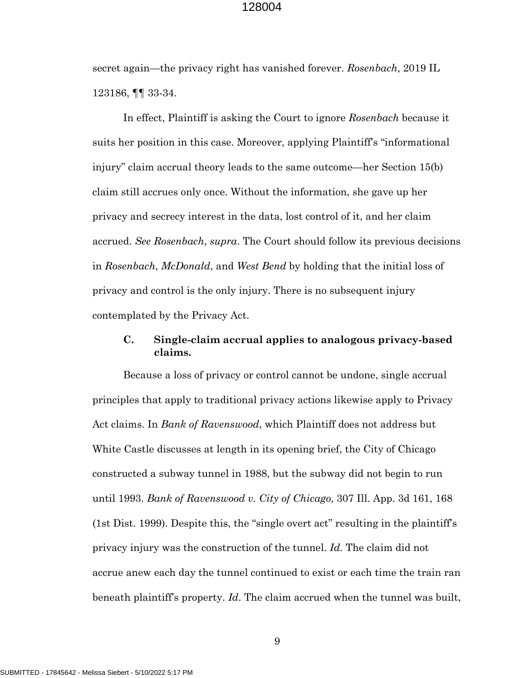secret again—the privacy right has vanished forever. *Rosenbach*, 2019 IL 123186, ¶¶ 33-34.

In effect, Plaintiff is asking the Court to ignore *Rosenbach* because it suits her position in this case. Moreover, applying Plaintiff's "informational injury" claim accrual theory leads to the same outcome—her Section 15(b) claim still accrues only once. Without the information, she gave up her privacy and secrecy interest in the data, lost control of it, and her claim accrued. *See Rosenbach*, *supra*. The Court should follow its previous decisions in *Rosenbach*, *McDonald*, and *West Bend* by holding that the initial loss of privacy and control is the only injury. There is no subsequent injury contemplated by the Privacy Act.

# **C. Single-claim accrual applies to analogous privacy-based claims.**

Because a loss of privacy or control cannot be undone, single accrual principles that apply to traditional privacy actions likewise apply to Privacy Act claims. In *Bank of Ravenswood*, which Plaintiff does not address but White Castle discusses at length in its opening brief, the City of Chicago constructed a subway tunnel in 1988, but the subway did not begin to run until 1993. *Bank of Ravenswood v. City of Chicago*, 307 Ill. App. 3d 161, 168 (1st Dist. 1999). Despite this, the "single overt act" resulting in the plaintiff's privacy injury was the construction of the tunnel. *Id.* The claim did not accrue anew each day the tunnel continued to exist or each time the train ran beneath plaintiff's property. *Id*. The claim accrued when the tunnel was built,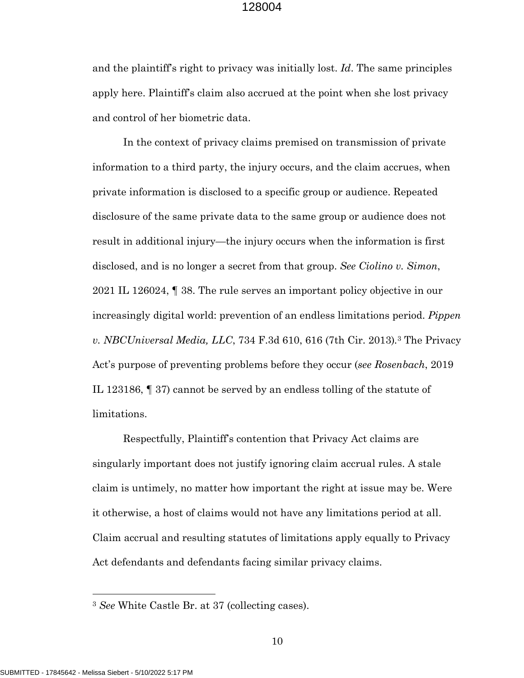and the plaintiff's right to privacy was initially lost. *Id*. The same principles apply here. Plaintiff's claim also accrued at the point when she lost privacy and control of her biometric data.

In the context of privacy claims premised on transmission of private information to a third party, the injury occurs, and the claim accrues, when private information is disclosed to a specific group or audience. Repeated disclosure of the same private data to the same group or audience does not result in additional injury—the injury occurs when the information is first disclosed, and is no longer a secret from that group. *See Ciolino v. Simon*, 2021 IL 126024, ¶ 38. The rule serves an important policy objective in our increasingly digital world: prevention of an endless limitations period. *Pippen v. NBCUniversal Media, LLC*, 734 F.3d 610, 616 (7th Cir. 2013)*.*<sup>3</sup> The Privacy Act's purpose of preventing problems before they occur (*see Rosenbach*, 2019 IL 123186, ¶ 37) cannot be served by an endless tolling of the statute of limitations.

Respectfully, Plaintiff's contention that Privacy Act claims are singularly important does not justify ignoring claim accrual rules. A stale claim is untimely, no matter how important the right at issue may be. Were it otherwise, a host of claims would not have any limitations period at all. Claim accrual and resulting statutes of limitations apply equally to Privacy Act defendants and defendants facing similar privacy claims.

<sup>3</sup> *See* White Castle Br. at 37 (collecting cases).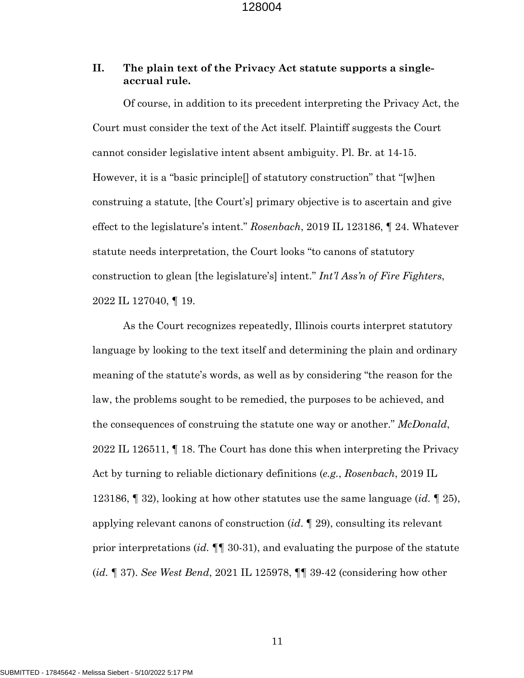# **II. The plain text of the Privacy Act statute supports a singleaccrual rule.**

Of course, in addition to its precedent interpreting the Privacy Act, the Court must consider the text of the Act itself. Plaintiff suggests the Court cannot consider legislative intent absent ambiguity. Pl. Br. at 14-15. However, it is a "basic principle[] of statutory construction" that "[w]hen construing a statute, [the Court's] primary objective is to ascertain and give effect to the legislature's intent." *Rosenbach*, 2019 IL 123186, ¶ 24. Whatever statute needs interpretation, the Court looks "to canons of statutory construction to glean [the legislature's] intent." *Int'l Ass'n of Fire Fighters*, 2022 IL 127040, ¶ 19.

As the Court recognizes repeatedly, Illinois courts interpret statutory language by looking to the text itself and determining the plain and ordinary meaning of the statute's words, as well as by considering "the reason for the law, the problems sought to be remedied, the purposes to be achieved, and the consequences of construing the statute one way or another." *McDonald*, 2022 IL 126511, ¶ 18. The Court has done this when interpreting the Privacy Act by turning to reliable dictionary definitions (*e.g.*, *Rosenbach*, 2019 IL 123186, ¶ 32), looking at how other statutes use the same language (*id.* ¶ 25), applying relevant canons of construction (*id*. ¶ 29), consulting its relevant prior interpretations (*id.* ¶¶ 30-31), and evaluating the purpose of the statute (*id.* ¶ 37). *See West Bend*, 2021 IL 125978, ¶¶ 39-42 (considering how other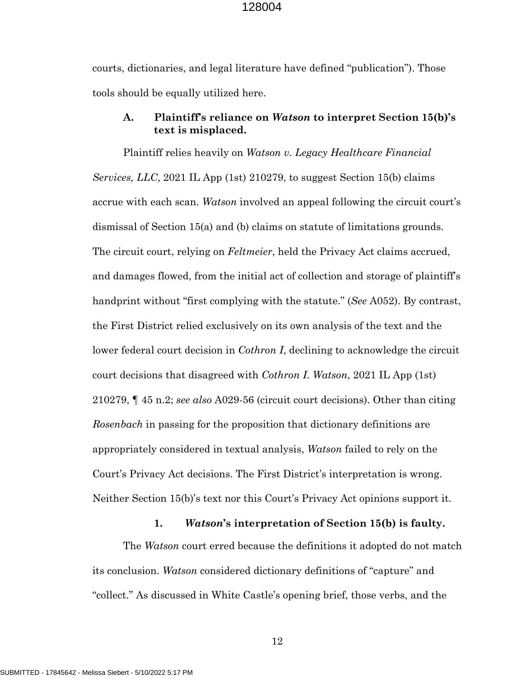courts, dictionaries, and legal literature have defined "publication"). Those tools should be equally utilized here.

# **A. Plaintiff's reliance on** *Watson* **to interpret Section 15(b)'s text is misplaced.**

Plaintiff relies heavily on *Watson v. Legacy Healthcare Financial Services, LLC*, 2021 IL App (1st) 210279, to suggest Section 15(b) claims accrue with each scan. *Watson* involved an appeal following the circuit court's dismissal of Section 15(a) and (b) claims on statute of limitations grounds. The circuit court, relying on *Feltmeier*, held the Privacy Act claims accrued, and damages flowed, from the initial act of collection and storage of plaintiff's handprint without "first complying with the statute." (*See* A052). By contrast, the First District relied exclusively on its own analysis of the text and the lower federal court decision in *Cothron I*, declining to acknowledge the circuit court decisions that disagreed with *Cothron I*. *Watson*, 2021 IL App (1st) 210279, ¶ 45 n.2; *see also* A029-56 (circuit court decisions). Other than citing *Rosenbach* in passing for the proposition that dictionary definitions are appropriately considered in textual analysis, *Watson* failed to rely on the Court's Privacy Act decisions. The First District's interpretation is wrong. Neither Section 15(b)'s text nor this Court's Privacy Act opinions support it.

#### **1.** *Watson***'s interpretation of Section 15(b) is faulty.**

The *Watson* court erred because the definitions it adopted do not match its conclusion. *Watson* considered dictionary definitions of "capture" and "collect." As discussed in White Castle's opening brief, those verbs, and the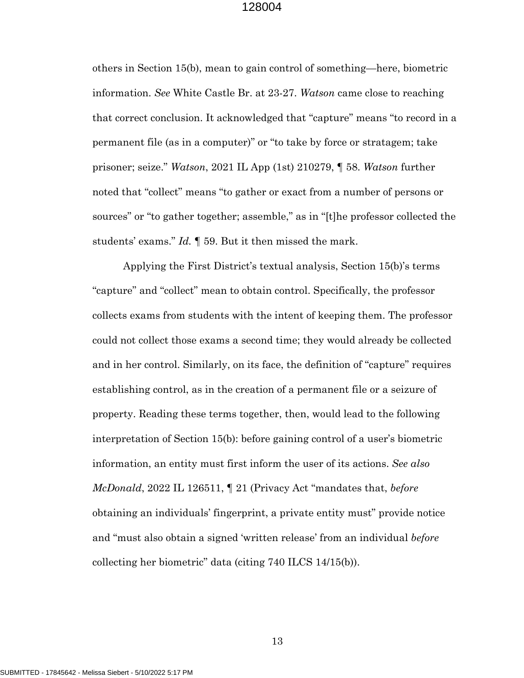others in Section 15(b), mean to gain control of something—here, biometric information. *See* White Castle Br. at 23-27. *Watson* came close to reaching that correct conclusion. It acknowledged that "capture" means "to record in a permanent file (as in a computer)" or "to take by force or stratagem; take prisoner; seize." *Watson*, 2021 IL App (1st) 210279, ¶ 58. *Watson* further noted that "collect" means "to gather or exact from a number of persons or sources" or "to gather together; assemble," as in "[t]he professor collected the students' exams." *Id.* ¶ 59. But it then missed the mark.

Applying the First District's textual analysis, Section 15(b)'s terms "capture" and "collect" mean to obtain control. Specifically, the professor collects exams from students with the intent of keeping them. The professor could not collect those exams a second time; they would already be collected and in her control. Similarly, on its face, the definition of "capture" requires establishing control, as in the creation of a permanent file or a seizure of property. Reading these terms together, then, would lead to the following interpretation of Section 15(b): before gaining control of a user's biometric information, an entity must first inform the user of its actions. *See also McDonald*, 2022 IL 126511, ¶ 21 (Privacy Act "mandates that, *before* obtaining an individuals' fingerprint, a private entity must" provide notice and "must also obtain a signed 'written release' from an individual *before* collecting her biometric" data (citing 740 ILCS 14/15(b)).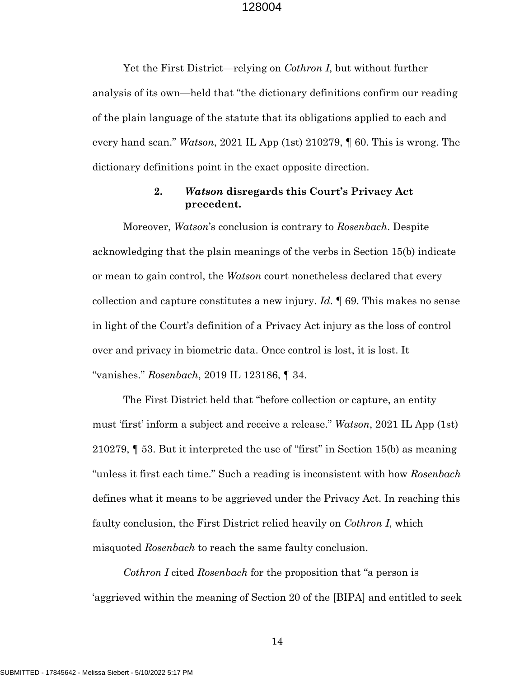Yet the First District—relying on *Cothron I*, but without further analysis of its own—held that "the dictionary definitions confirm our reading of the plain language of the statute that its obligations applied to each and every hand scan." *Watson*, 2021 IL App (1st) 210279, ¶ 60. This is wrong. The dictionary definitions point in the exact opposite direction.

# **2.** *Watson* **disregards this Court's Privacy Act precedent.**

Moreover, *Watson*'s conclusion is contrary to *Rosenbach*. Despite acknowledging that the plain meanings of the verbs in Section 15(b) indicate or mean to gain control, the *Watson* court nonetheless declared that every collection and capture constitutes a new injury. *Id*. ¶ 69. This makes no sense in light of the Court's definition of a Privacy Act injury as the loss of control over and privacy in biometric data. Once control is lost, it is lost. It "vanishes." *Rosenbach*, 2019 IL 123186, ¶ 34.

The First District held that "before collection or capture, an entity must 'first' inform a subject and receive a release." *Watson*, 2021 IL App (1st) 210279, ¶ 53. But it interpreted the use of "first" in Section 15(b) as meaning "unless it first each time." Such a reading is inconsistent with how *Rosenbach* defines what it means to be aggrieved under the Privacy Act. In reaching this faulty conclusion, the First District relied heavily on *Cothron I*, which misquoted *Rosenbach* to reach the same faulty conclusion.

*Cothron I* cited *Rosenbach* for the proposition that "a person is 'aggrieved within the meaning of Section 20 of the [BIPA] and entitled to seek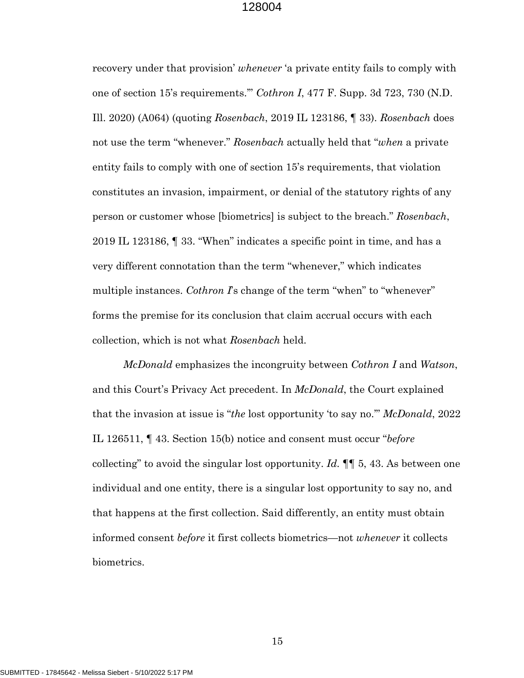recovery under that provision' *whenever* 'a private entity fails to comply with one of section 15's requirements.'" *Cothron I*, 477 F. Supp. 3d 723, 730 (N.D. Ill. 2020) (A064) (quoting *Rosenbach*, 2019 IL 123186, ¶ 33). *Rosenbach* does not use the term "whenever." *Rosenbach* actually held that "*when* a private entity fails to comply with one of section 15's requirements, that violation constitutes an invasion, impairment, or denial of the statutory rights of any person or customer whose [biometrics] is subject to the breach." *Rosenbach*, 2019 IL 123186, ¶ 33. "When" indicates a specific point in time, and has a very different connotation than the term "whenever," which indicates multiple instances. *Cothron I*'s change of the term "when" to "whenever" forms the premise for its conclusion that claim accrual occurs with each collection, which is not what *Rosenbach* held.

*McDonald* emphasizes the incongruity between *Cothron I* and *Watson*, and this Court's Privacy Act precedent. In *McDonald*, the Court explained that the invasion at issue is "*the* lost opportunity 'to say no.'" *McDonald*, 2022 IL 126511, ¶ 43. Section 15(b) notice and consent must occur "*before* collecting" to avoid the singular lost opportunity. *Id.* ¶¶ 5, 43. As between one individual and one entity, there is a singular lost opportunity to say no, and that happens at the first collection. Said differently, an entity must obtain informed consent *before* it first collects biometrics—not *whenever* it collects biometrics.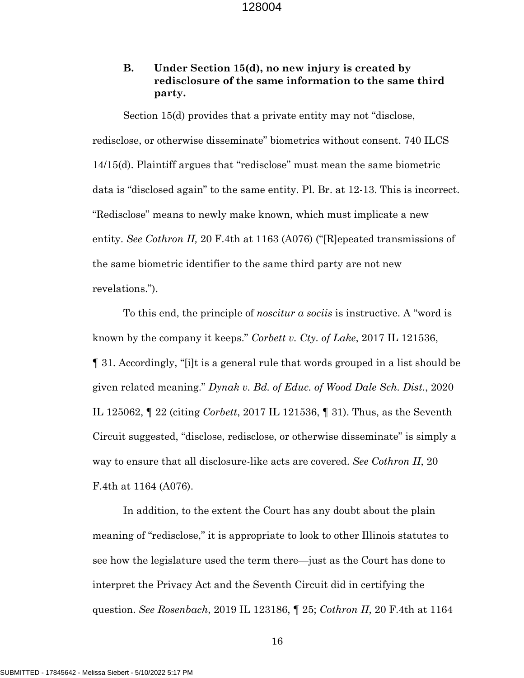# **B. Under Section 15(d), no new injury is created by redisclosure of the same information to the same third party.**

Section 15(d) provides that a private entity may not "disclose, redisclose, or otherwise disseminate" biometrics without consent. 740 ILCS 14/15(d). Plaintiff argues that "redisclose" must mean the same biometric data is "disclosed again" to the same entity. Pl. Br. at 12-13. This is incorrect. "Redisclose" means to newly make known, which must implicate a new entity. *See Cothron II,* 20 F.4th at 1163 (A076) ("[R]epeated transmissions of the same biometric identifier to the same third party are not new revelations.").

To this end, the principle of *noscitur a sociis* is instructive. A "word is known by the company it keeps." *Corbett v. Cty. of Lake*, 2017 IL 121536, ¶ 31. Accordingly, "[i]t is a general rule that words grouped in a list should be given related meaning." *Dynak v. Bd. of Educ. of Wood Dale Sch. Dist.*, 2020 IL 125062, ¶ 22 (citing *Corbett*, 2017 IL 121536, ¶ 31). Thus, as the Seventh Circuit suggested, "disclose, redisclose, or otherwise disseminate" is simply a way to ensure that all disclosure-like acts are covered. *See Cothron II*, 20 F.4th at 1164 (A076).

In addition, to the extent the Court has any doubt about the plain meaning of "redisclose," it is appropriate to look to other Illinois statutes to see how the legislature used the term there—just as the Court has done to interpret the Privacy Act and the Seventh Circuit did in certifying the question. *See Rosenbach*, 2019 IL 123186, ¶ 25; *Cothron II*, 20 F.4th at 1164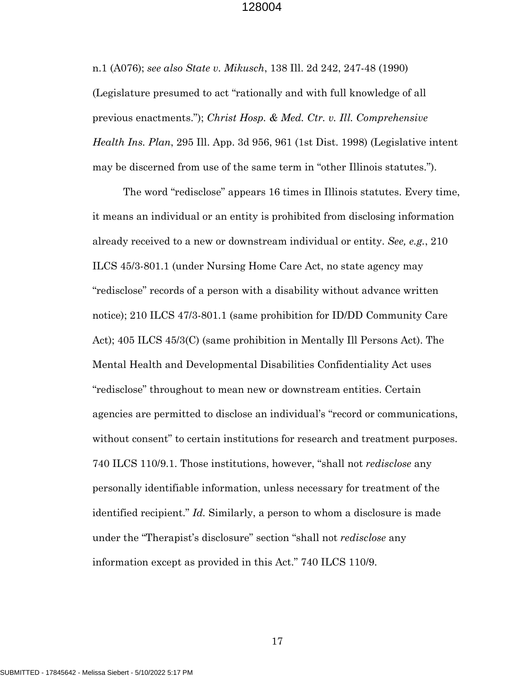n.1 (A076); *see also State v. Mikusch*, 138 Ill. 2d 242, 247-48 (1990) (Legislature presumed to act "rationally and with full knowledge of all previous enactments."); *Christ Hosp. & Med. Ctr. v. Ill. Comprehensive Health Ins. Plan*, 295 Ill. App. 3d 956, 961 (1st Dist. 1998) (Legislative intent may be discerned from use of the same term in "other Illinois statutes.").

The word "redisclose" appears 16 times in Illinois statutes. Every time, it means an individual or an entity is prohibited from disclosing information already received to a new or downstream individual or entity. *See, e.g.*, 210 ILCS 45/3-801.1 (under Nursing Home Care Act, no state agency may "redisclose" records of a person with a disability without advance written notice); 210 ILCS 47/3-801.1 (same prohibition for ID/DD Community Care Act); 405 ILCS 45/3(C) (same prohibition in Mentally Ill Persons Act). The Mental Health and Developmental Disabilities Confidentiality Act uses "redisclose" throughout to mean new or downstream entities. Certain agencies are permitted to disclose an individual's "record or communications, without consent" to certain institutions for research and treatment purposes. 740 ILCS 110/9.1. Those institutions, however, "shall not *redisclose* any personally identifiable information, unless necessary for treatment of the identified recipient." *Id.* Similarly, a person to whom a disclosure is made under the "Therapist's disclosure" section "shall not *redisclose* any information except as provided in this Act." 740 ILCS 110/9.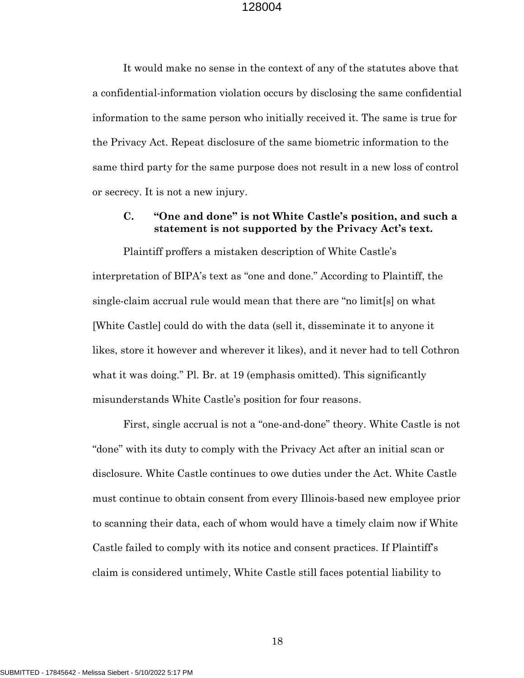It would make no sense in the context of any of the statutes above that a confidential-information violation occurs by disclosing the same confidential information to the same person who initially received it. The same is true for the Privacy Act. Repeat disclosure of the same biometric information to the same third party for the same purpose does not result in a new loss of control or secrecy. It is not a new injury.

# **C. "One and done" is not White Castle's position, and such a statement is not supported by the Privacy Act's text.**

Plaintiff proffers a mistaken description of White Castle's interpretation of BIPA's text as "one and done." According to Plaintiff, the single-claim accrual rule would mean that there are "no limit[s] on what [White Castle] could do with the data (sell it, disseminate it to anyone it likes, store it however and wherever it likes), and it never had to tell Cothron what it was doing." Pl. Br. at 19 (emphasis omitted). This significantly misunderstands White Castle's position for four reasons.

First, single accrual is not a "one-and-done" theory. White Castle is not "done" with its duty to comply with the Privacy Act after an initial scan or disclosure. White Castle continues to owe duties under the Act. White Castle must continue to obtain consent from every Illinois-based new employee prior to scanning their data, each of whom would have a timely claim now if White Castle failed to comply with its notice and consent practices. If Plaintiff's claim is considered untimely, White Castle still faces potential liability to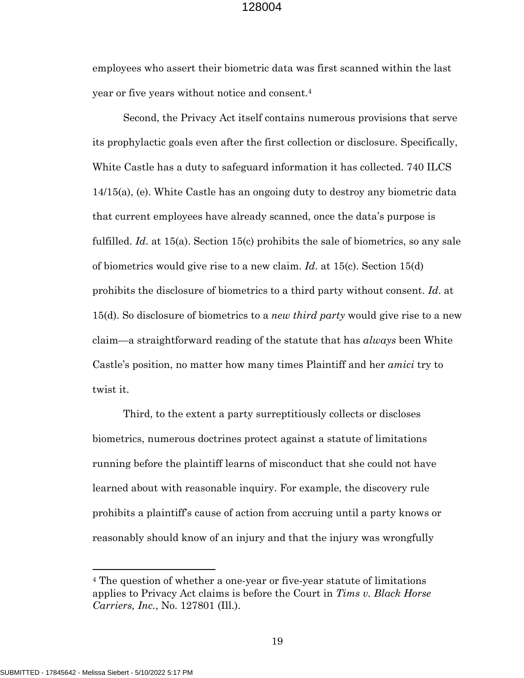employees who assert their biometric data was first scanned within the last year or five years without notice and consent.4

Second, the Privacy Act itself contains numerous provisions that serve its prophylactic goals even after the first collection or disclosure. Specifically, White Castle has a duty to safeguard information it has collected. 740 ILCS 14/15(a), (e). White Castle has an ongoing duty to destroy any biometric data that current employees have already scanned, once the data's purpose is fulfilled. *Id*. at 15(a). Section 15(c) prohibits the sale of biometrics, so any sale of biometrics would give rise to a new claim. *Id*. at 15(c). Section 15(d) prohibits the disclosure of biometrics to a third party without consent. *Id*. at 15(d). So disclosure of biometrics to a *new third party* would give rise to a new claim—a straightforward reading of the statute that has *always* been White Castle's position, no matter how many times Plaintiff and her *amici* try to twist it.

Third, to the extent a party surreptitiously collects or discloses biometrics, numerous doctrines protect against a statute of limitations running before the plaintiff learns of misconduct that she could not have learned about with reasonable inquiry. For example, the discovery rule prohibits a plaintiff's cause of action from accruing until a party knows or reasonably should know of an injury and that the injury was wrongfully

 $\overline{a}$ 

<sup>4</sup> The question of whether a one-year or five-year statute of limitations applies to Privacy Act claims is before the Court in *Tims v. Black Horse Carriers, Inc.*, No. 127801 (Ill.).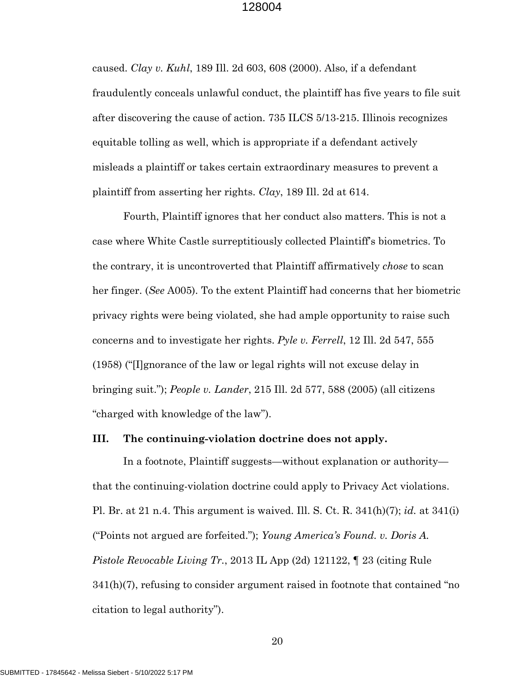caused. *Clay v. Kuhl*, 189 Ill. 2d 603, 608 (2000). Also, if a defendant fraudulently conceals unlawful conduct, the plaintiff has five years to file suit after discovering the cause of action. 735 ILCS 5/13-215. Illinois recognizes equitable tolling as well, which is appropriate if a defendant actively misleads a plaintiff or takes certain extraordinary measures to prevent a plaintiff from asserting her rights. *Clay*, 189 Ill. 2d at 614.

Fourth, Plaintiff ignores that her conduct also matters. This is not a case where White Castle surreptitiously collected Plaintiff's biometrics. To the contrary, it is uncontroverted that Plaintiff affirmatively *chose* to scan her finger. (*See* A005). To the extent Plaintiff had concerns that her biometric privacy rights were being violated, she had ample opportunity to raise such concerns and to investigate her rights. *Pyle v. Ferrell*, 12 Ill. 2d 547, 555 (1958) ("[I]gnorance of the law or legal rights will not excuse delay in bringing suit."); *People v. Lander*, 215 Ill. 2d 577, 588 (2005) (all citizens "charged with knowledge of the law").

### **III. The continuing-violation doctrine does not apply.**

In a footnote, Plaintiff suggests—without explanation or authority that the continuing-violation doctrine could apply to Privacy Act violations. Pl. Br. at 21 n.4. This argument is waived. Ill. S. Ct. R. 341(h)(7); *id.* at 341(i) ("Points not argued are forfeited."); *Young America's Found. v. Doris A. Pistole Revocable Living Tr.*, 2013 IL App (2d) 121122, ¶ 23 (citing Rule 341(h)(7), refusing to consider argument raised in footnote that contained "no citation to legal authority").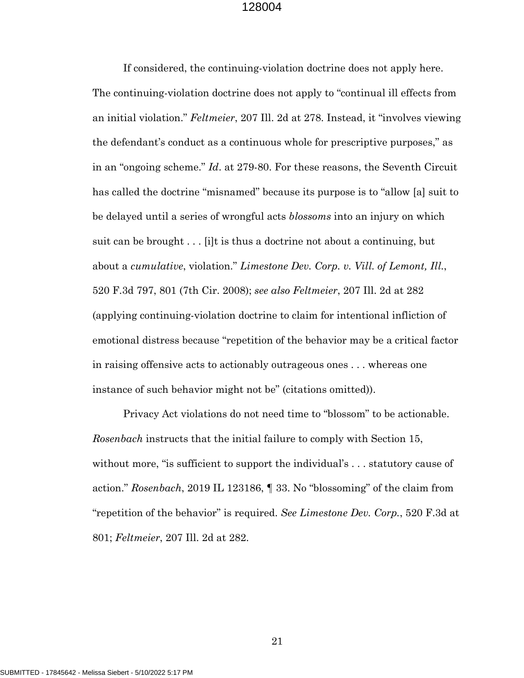If considered, the continuing-violation doctrine does not apply here. The continuing-violation doctrine does not apply to "continual ill effects from an initial violation." *Feltmeier*, 207 Ill. 2d at 278. Instead, it "involves viewing the defendant's conduct as a continuous whole for prescriptive purposes," as in an "ongoing scheme." *Id*. at 279-80. For these reasons, the Seventh Circuit has called the doctrine "misnamed" because its purpose is to "allow [a] suit to be delayed until a series of wrongful acts *blossoms* into an injury on which suit can be brought . . . [i]t is thus a doctrine not about a continuing, but about a *cumulative*, violation." *Limestone Dev. Corp. v. Vill. of Lemont, Ill.*, 520 F.3d 797, 801 (7th Cir. 2008); *see also Feltmeier*, 207 Ill. 2d at 282 (applying continuing-violation doctrine to claim for intentional infliction of emotional distress because "repetition of the behavior may be a critical factor in raising offensive acts to actionably outrageous ones . . . whereas one instance of such behavior might not be" (citations omitted)).

Privacy Act violations do not need time to "blossom" to be actionable. *Rosenbach* instructs that the initial failure to comply with Section 15, without more, "is sufficient to support the individual's ... statutory cause of action." *Rosenbach*, 2019 IL 123186, ¶ 33. No "blossoming" of the claim from "repetition of the behavior" is required. *See Limestone Dev. Corp.*, 520 F.3d at 801; *Feltmeier*, 207 Ill. 2d at 282.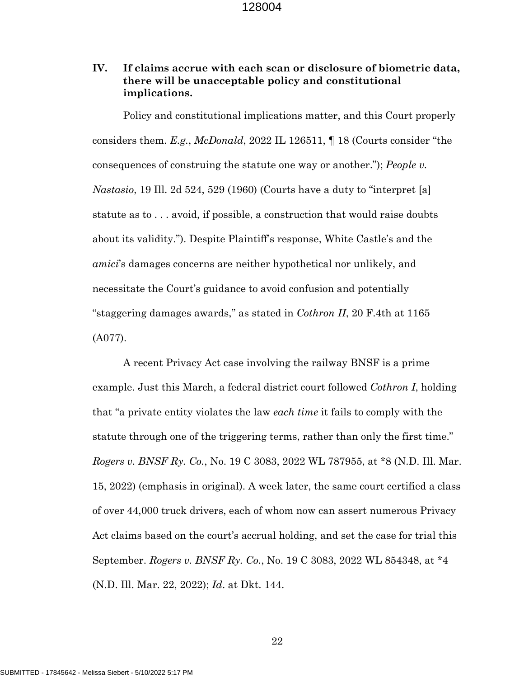# **IV. If claims accrue with each scan or disclosure of biometric data, there will be unacceptable policy and constitutional implications.**

Policy and constitutional implications matter, and this Court properly considers them. *E.g.*, *McDonald*, 2022 IL 126511, ¶ 18 (Courts consider "the consequences of construing the statute one way or another."); *People v. Nastasio*, 19 Ill. 2d 524, 529 (1960) (Courts have a duty to "interpret [a] statute as to . . . avoid, if possible, a construction that would raise doubts about its validity."). Despite Plaintiff's response, White Castle's and the *amici*'s damages concerns are neither hypothetical nor unlikely, and necessitate the Court's guidance to avoid confusion and potentially "staggering damages awards," as stated in *Cothron II*, 20 F.4th at 1165 (A077).

A recent Privacy Act case involving the railway BNSF is a prime example. Just this March, a federal district court followed *Cothron I*, holding that "a private entity violates the law *each time* it fails to comply with the statute through one of the triggering terms, rather than only the first time." *Rogers v. BNSF Ry. Co.*, No. 19 C 3083, 2022 WL 787955, at \*8 (N.D. Ill. Mar. 15, 2022) (emphasis in original). A week later, the same court certified a class of over 44,000 truck drivers, each of whom now can assert numerous Privacy Act claims based on the court's accrual holding, and set the case for trial this September. *Rogers v. BNSF Ry. Co.*, No. 19 C 3083, 2022 WL 854348, at \*4 (N.D. Ill. Mar. 22, 2022); *Id*. at Dkt. 144.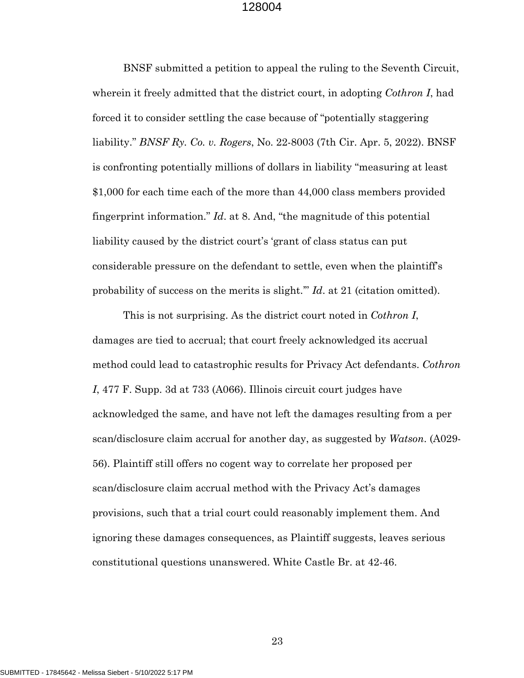BNSF submitted a petition to appeal the ruling to the Seventh Circuit, wherein it freely admitted that the district court, in adopting *Cothron I*, had forced it to consider settling the case because of "potentially staggering liability." *BNSF Ry. Co. v. Rogers*, No. 22-8003 (7th Cir. Apr. 5, 2022). BNSF is confronting potentially millions of dollars in liability "measuring at least \$1,000 for each time each of the more than 44,000 class members provided fingerprint information." *Id*. at 8. And, "the magnitude of this potential liability caused by the district court's 'grant of class status can put considerable pressure on the defendant to settle, even when the plaintiff's probability of success on the merits is slight.'" *Id*. at 21 (citation omitted).

This is not surprising. As the district court noted in *Cothron I*, damages are tied to accrual; that court freely acknowledged its accrual method could lead to catastrophic results for Privacy Act defendants. *Cothron I*, 477 F. Supp. 3d at 733 (A066). Illinois circuit court judges have acknowledged the same, and have not left the damages resulting from a per scan/disclosure claim accrual for another day, as suggested by *Watson*. (A029- 56). Plaintiff still offers no cogent way to correlate her proposed per scan/disclosure claim accrual method with the Privacy Act's damages provisions, such that a trial court could reasonably implement them. And ignoring these damages consequences, as Plaintiff suggests, leaves serious constitutional questions unanswered. White Castle Br. at 42-46.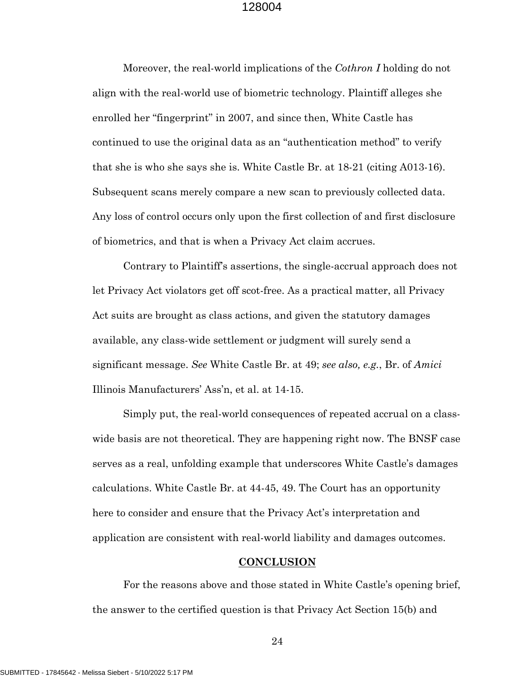Moreover, the real-world implications of the *Cothron I* holding do not align with the real-world use of biometric technology. Plaintiff alleges she enrolled her "fingerprint" in 2007, and since then, White Castle has continued to use the original data as an "authentication method" to verify that she is who she says she is. White Castle Br. at 18-21 (citing A013-16). Subsequent scans merely compare a new scan to previously collected data. Any loss of control occurs only upon the first collection of and first disclosure of biometrics, and that is when a Privacy Act claim accrues.

Contrary to Plaintiff's assertions, the single-accrual approach does not let Privacy Act violators get off scot-free. As a practical matter, all Privacy Act suits are brought as class actions, and given the statutory damages available, any class-wide settlement or judgment will surely send a significant message. *See* White Castle Br. at 49; *see also, e.g.*, Br. of *Amici* Illinois Manufacturers' Ass'n, et al. at 14-15.

Simply put, the real-world consequences of repeated accrual on a classwide basis are not theoretical. They are happening right now. The BNSF case serves as a real, unfolding example that underscores White Castle's damages calculations. White Castle Br. at 44-45, 49. The Court has an opportunity here to consider and ensure that the Privacy Act's interpretation and application are consistent with real-world liability and damages outcomes.

#### **CONCLUSION**

For the reasons above and those stated in White Castle's opening brief, the answer to the certified question is that Privacy Act Section 15(b) and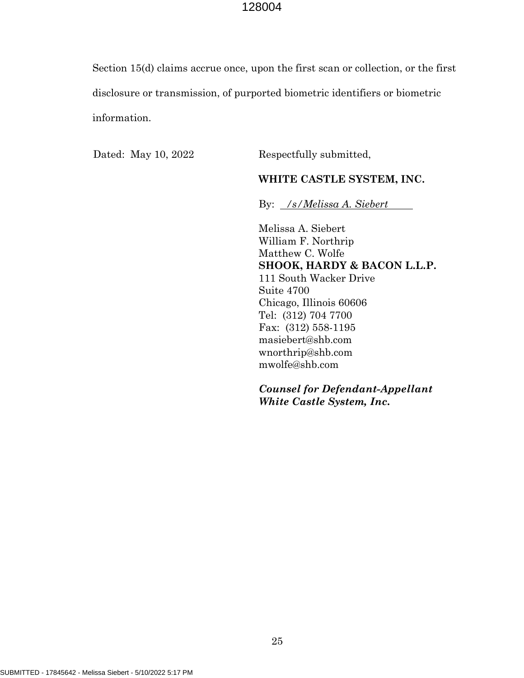Section 15(d) claims accrue once, upon the first scan or collection, or the first disclosure or transmission, of purported biometric identifiers or biometric information.

Dated: May 10, 2022 Respectfully submitted,

#### **WHITE CASTLE SYSTEM, INC.**

By: */s/Melissa A. Siebert*

Melissa A. Siebert William F. Northrip Matthew C. Wolfe **SHOOK, HARDY & BACON L.L.P.** 111 South Wacker Drive Suite 4700 Chicago, Illinois 60606 Tel: (312) 704 7700 Fax: (312) 558-1195 masiebert@shb.com wnorthrip@shb.com mwolfe@shb.com

*Counsel for Defendant-Appellant White Castle System, Inc.*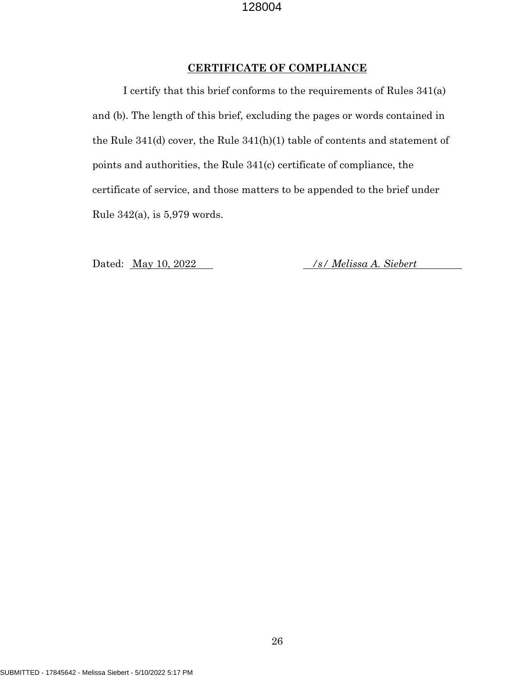# **CERTIFICATE OF COMPLIANCE**

I certify that this brief conforms to the requirements of Rules 341(a) and (b). The length of this brief, excluding the pages or words contained in the Rule 341(d) cover, the Rule 341(h)(1) table of contents and statement of points and authorities, the Rule 341(c) certificate of compliance, the certificate of service, and those matters to be appended to the brief under Rule 342(a), is 5,979 words.

Dated: May 10, 2022 */s/ Melissa A. Siebert*